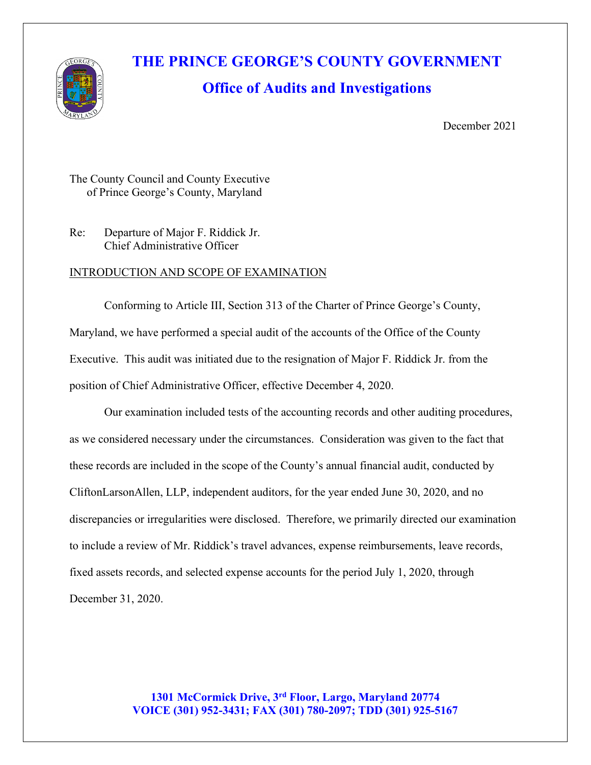

# **THE PRINCE GEORGE'S COUNTY GOVERNMENT**

## **Office of Audits and Investigations**

December 2021

The County Council and County Executive of Prince George's County, Maryland

Re: Departure of Major F. Riddick Jr. Chief Administrative Officer

#### INTRODUCTION AND SCOPE OF EXAMINATION

Conforming to Article III, Section 313 of the Charter of Prince George's County, Maryland, we have performed a special audit of the accounts of the Office of the County Executive. This audit was initiated due to the resignation of Major F. Riddick Jr. from the position of Chief Administrative Officer, effective December 4, 2020.

Our examination included tests of the accounting records and other auditing procedures, as we considered necessary under the circumstances. Consideration was given to the fact that these records are included in the scope of the County's annual financial audit, conducted by CliftonLarsonAllen, LLP, independent auditors, for the year ended June 30, 2020, and no discrepancies or irregularities were disclosed. Therefore, we primarily directed our examination to include a review of Mr. Riddick's travel advances, expense reimbursements, leave records, fixed assets records, and selected expense accounts for the period July 1, 2020, through December 31, 2020.

> **1301 McCormick Drive, 3rd Floor, Largo, Maryland 20774 VOICE (301) 952-3431; FAX (301) 780-2097; TDD (301) 925-5167**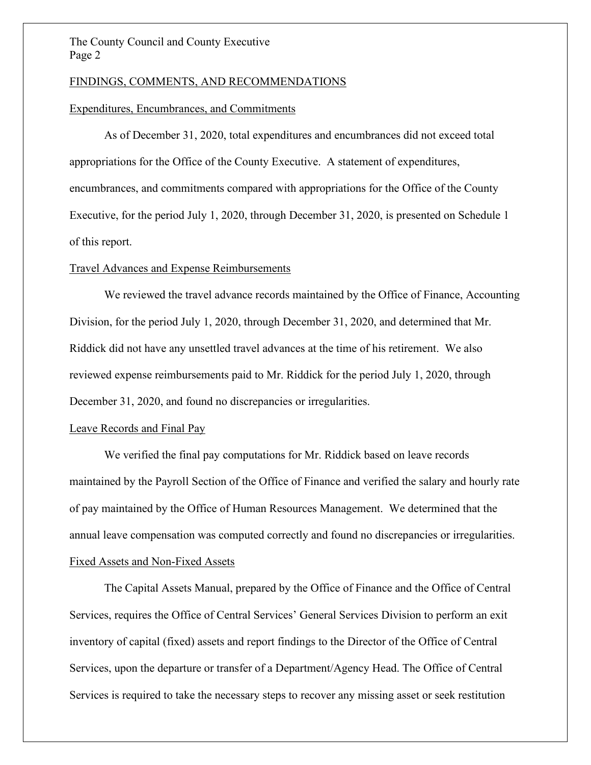#### The County Council and County Executive Page 2

#### FINDINGS, COMMENTS, AND RECOMMENDATIONS

#### Expenditures, Encumbrances, and Commitments

As of December 31, 2020, total expenditures and encumbrances did not exceed total appropriations for the Office of the County Executive. A statement of expenditures, encumbrances, and commitments compared with appropriations for the Office of the County Executive, for the period July 1, 2020, through December 31, 2020, is presented on Schedule 1 of this report.

#### Travel Advances and Expense Reimbursements

We reviewed the travel advance records maintained by the Office of Finance, Accounting Division, for the period July 1, 2020, through December 31, 2020, and determined that Mr. Riddick did not have any unsettled travel advances at the time of his retirement. We also reviewed expense reimbursements paid to Mr. Riddick for the period July 1, 2020, through December 31, 2020, and found no discrepancies or irregularities.

#### Leave Records and Final Pay

We verified the final pay computations for Mr. Riddick based on leave records maintained by the Payroll Section of the Office of Finance and verified the salary and hourly rate of pay maintained by the Office of Human Resources Management. We determined that the annual leave compensation was computed correctly and found no discrepancies or irregularities. Fixed Assets and Non-Fixed Assets

The Capital Assets Manual, prepared by the Office of Finance and the Office of Central Services, requires the Office of Central Services' General Services Division to perform an exit inventory of capital (fixed) assets and report findings to the Director of the Office of Central Services, upon the departure or transfer of a Department/Agency Head. The Office of Central Services is required to take the necessary steps to recover any missing asset or seek restitution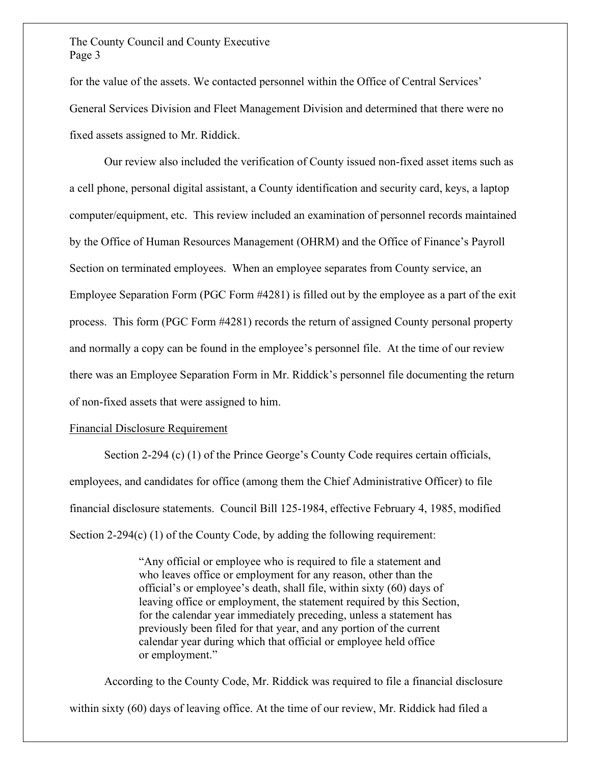#### The County Council and County Executive Page 3

for the value of the assets. We contacted personnel within the Office of Central Services' General Services Division and Fleet Management Division and determined that there were no fixed assets assigned to Mr. Riddick.

Our review also included the verification of County issued non-fixed asset items such as a cell phone, personal digital assistant, a County identification and security card, keys, a laptop computer/equipment, etc. This review included an examination of personnel records maintained by the Office of Human Resources Management (OHRM) and the Office of Finance's Payroll Section on terminated employees. When an employee separates from County service, an Employee Separation Form (PGC Form #4281) is filled out by the employee as a part of the exit process. This form (PGC Form #4281) records the return of assigned County personal property and normally a copy can be found in the employee's personnel file. At the time of our review there was an Employee Separation Form in Mr. Riddick's personnel file documenting the return of non-fixed assets that were assigned to him.

#### Financial Disclosure Requirement

Section 2-294 (c) (1) of the Prince George's County Code requires certain officials, employees, and candidates for office (among them the Chief Administrative Officer) to file financial disclosure statements. Council Bill 125-1984, effective February 4, 1985, modified Section 2-294(c) (1) of the County Code, by adding the following requirement:

> "Any official or employee who is required to file a statement and who leaves office or employment for any reason, other than the official's or employee's death, shall file, within sixty (60) days of leaving office or employment, the statement required by this Section, for the calendar year immediately preceding, unless a statement has previously been filed for that year, and any portion of the current calendar year during which that official or employee held office or employment."

According to the County Code, Mr. Riddick was required to file a financial disclosure within sixty (60) days of leaving office. At the time of our review, Mr. Riddick had filed a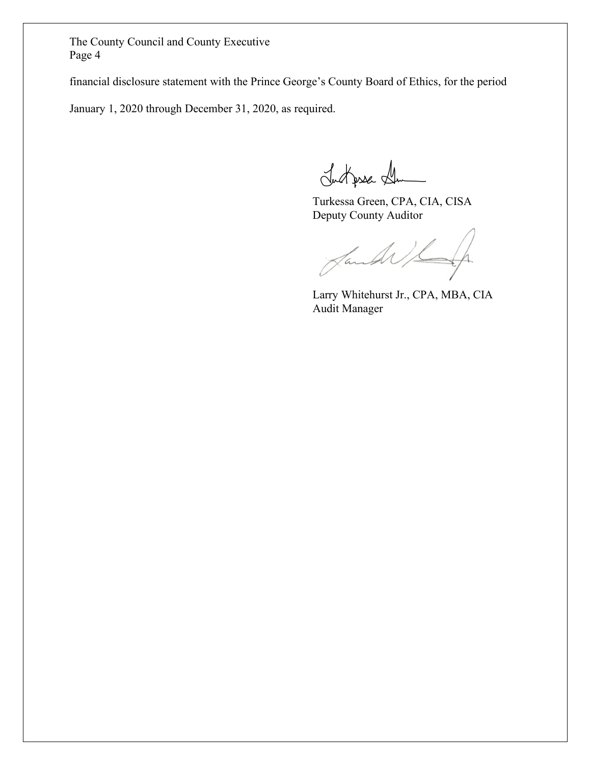The County Council and County Executive Page 4

financial disclosure statement with the Prince George's County Board of Ethics, for the period

January 1, 2020 through December 31, 2020, as required.

Justpse St

Turkessa Green, CPA, CIA, CISA Deputy County Auditor

Jande

Larry Whitehurst Jr., CPA, MBA, CIA Audit Manager